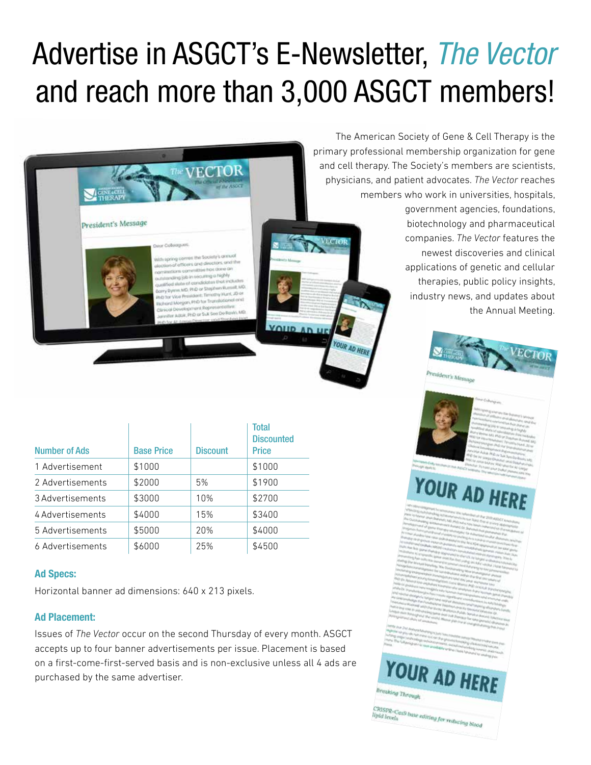## Advertise in ASGCT's E-Newsletter, *The Vector* and reach more than 3,000 ASGCT members!



| <b>Number of Ads</b> | <b>Base Price</b> | <b>Discount</b> | <b>Total</b><br><b>Discounted</b><br><b>Price</b> |
|----------------------|-------------------|-----------------|---------------------------------------------------|
| 1 Advertisement      | \$1000            |                 | \$1000                                            |
| 2 Advertisements     | \$2000            | 5%              | \$1900                                            |
| 3 Advertisements     | \$3000            | 10%             | \$2700                                            |
| 4 Advertisements     | \$4000            | 15%             | \$3400                                            |
| 5 Advertisements     | \$5000            | 20%             | \$4000                                            |
| 6 Advertisements     | \$6000            | 25%             | \$4500                                            |

## **Ad Specs:**

Horizontal banner ad dimensions: 640 x 213 pixels.

## **Ad Placement:**

Issues of *The Vector* occur on the second Thursday of every month. ASGCT accepts up to four banner advertisements per issue. Placement is based on a first-come-first-served basis and is non-exclusive unless all 4 ads are purchased by the same advertiser.

The American Society of Gene & Cell Therapy is the primary professional membership organization for gene and cell therapy. The Society's members are scientists, physicians, and patient advocates. *The Vector* reaches members who work in universities, hospitals, government agencies, foundations, biotechnology and pharmaceutical companies. *The Vector* features the newest discoveries and clinical applications of genetic and cellular therapies, public policy insights, industry news, and updates about

the Annual Meeting.